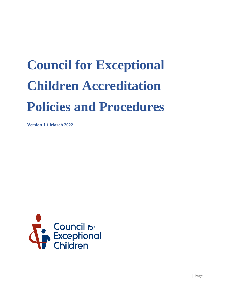# **Council for Exceptional Children Accreditation Policies and Procedures**

**Version 1.1 March 2022**

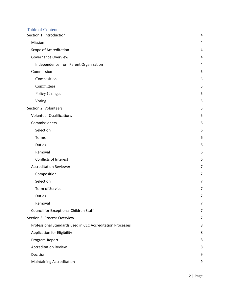| <b>Table of Contents</b><br>Section 1: Introduction        | 4 |
|------------------------------------------------------------|---|
| Mission                                                    | 4 |
| Scope of Accreditation                                     | 4 |
| <b>Governance Overview</b>                                 | 4 |
| Independence from Parent Organization                      | 4 |
| Commission                                                 | 5 |
| Composition                                                | 5 |
| Committees                                                 | 5 |
| <b>Policy Changes</b>                                      | 5 |
| Voting                                                     | 5 |
| Section 2: Volunteers                                      | 5 |
| <b>Volunteer Qualifications</b>                            | 5 |
| Commissioners                                              | 6 |
| Selection                                                  | 6 |
| Terms                                                      | 6 |
| <b>Duties</b>                                              | 6 |
| Removal                                                    | 6 |
| Conflicts of Interest                                      | 6 |
| <b>Accreditation Reviewer</b>                              | 7 |
| Composition                                                | 7 |
| Selection                                                  | 7 |
| <b>Term of Service</b>                                     | 7 |
| <b>Duties</b>                                              | 7 |
| Removal                                                    | 7 |
| Council for Exceptional Children Staff                     | 7 |
| Section 3: Process Overview                                | 7 |
| Professional Standards used in CEC Accreditation Processes | 8 |
| Application for Eligibility                                | 8 |
| Program-Report                                             | 8 |
| <b>Accreditation Review</b>                                | 8 |
| Decision                                                   | 9 |
| <b>Maintaining Accreditation</b>                           | 9 |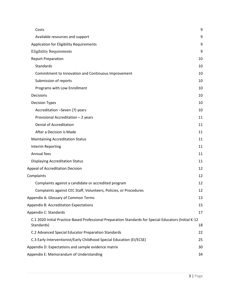| Costs                                                                                                                | 9  |
|----------------------------------------------------------------------------------------------------------------------|----|
| Available resources and support                                                                                      | 9  |
| Application for Eligibility Requirements                                                                             | 9  |
| <b>Eligibility Requirements</b>                                                                                      | 9  |
| <b>Report Preparation</b>                                                                                            | 10 |
| <b>Standards</b>                                                                                                     | 10 |
| Commitment to Innovation and Continuous Improvement                                                                  | 10 |
| Submission of reports                                                                                                | 10 |
| Programs with Low Enrollment                                                                                         | 10 |
| Decisions                                                                                                            | 10 |
| <b>Decision Types</b>                                                                                                | 10 |
| Accreditation -Seven (7) years                                                                                       | 10 |
| Provisional Accreditation - 2 years                                                                                  | 11 |
| <b>Denial of Accreditation</b>                                                                                       | 11 |
| After a Decision is Made                                                                                             | 11 |
| <b>Maintaining Accreditation Status</b>                                                                              | 11 |
| Interim Reporting                                                                                                    | 11 |
| Annual fees                                                                                                          | 11 |
| <b>Displaying Accreditation Status</b>                                                                               | 11 |
| Appeal of Accreditation Decision                                                                                     | 12 |
| Complaints                                                                                                           | 12 |
| Complaints against a candidate or accredited program                                                                 | 12 |
| Complaints against CEC Staff, Volunteers, Policies, or Procedures                                                    | 12 |
| Appendix A: Glossary of Common Terms                                                                                 | 13 |
| <b>Appendix B: Accreditation Expectations</b>                                                                        | 15 |
| Appendix C: Standards                                                                                                | 17 |
| C.1 2020 Initial Practice-Based Professional Preparation Standards for Special Educators (Initial K-12<br>Standards) | 18 |
| C.2 Advanced Special Educator Preparation Standards                                                                  | 22 |
| C.3 Early Interventionist/Early Childhood Special Education (EI/ECSE)                                                | 25 |
| Appendix D: Expectations and sample evidence matrix                                                                  | 30 |
| Appendix E: Memorandum of Understanding                                                                              | 34 |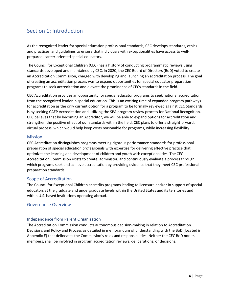# <span id="page-3-0"></span>Section 1: Introduction

As the recognized leader for special education professional standards, CEC develops standards, ethics and practices, and guidelines to ensure that individuals with exceptionalities have access to wellprepared, career-oriented special educators.

The Council for Exceptional Children (CEC) has a history of conducting programmatic reviews using standards developed and maintained by CEC. In 2020, the CEC Board of Directors (BoD) voted to create an Accreditation Commission, charged with developing and launching an accreditation process. The goal of creating an accreditation process was to expand opportunities for special educator preparation programs to seek accreditation and elevate the prominence of CECs standards in the field.

CEC Accreditation provides an opportunity for special educator programs to seek national accreditation from the recognized leader in special education. This is an exciting time of expanded program pathways for accreditation as the only current option for a program to be formally reviewed against CEC Standards is by seeking CAEP Accreditation and utilizing the SPA program review process for National Recognition. CEC believes that by becoming an Accreditor, we will be able to expand options for accreditation and strengthen the positive effect of our standards within the field. CEC plans to offer a straightforward, virtual process, which would help keep costs reasonable for programs, while increasing flexibility.

### <span id="page-3-1"></span>**Mission**

CEC Accreditation distinguishes programs meeting rigorous performance standards for professional preparation of special education professionals with expertise for delivering effective practice that optimizes the learning and development of children and youth with exceptionalities. The CEC Accreditation Commission exists to create, administer, and continuously evaluate a process through which programs seek and achieve accreditation by providing evidence that they meet CEC professional preparation standards.

# <span id="page-3-2"></span>Scope of Accreditation

The Council for Exceptional Children accredits programs leading to licensure and/or in support of special educators at the graduate and undergraduate levels within the United States and its territories and within U.S. based institutions operating abroad.

# <span id="page-3-3"></span>Governance Overview

# <span id="page-3-4"></span>Independence from Parent Organization

The Accreditation Commission conducts autonomous decision-making in relation to Accreditation Decisions and Policy and Process as detailed in memorandum of understanding with the BoD (located in Appendix E) that delineates the Commission's roles and responsibilities. Neither the CEC BoD nor its members, shall be involved in program accreditation reviews, deliberations, or decisions.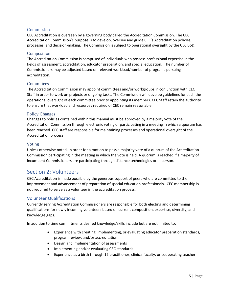### <span id="page-4-0"></span>**Commission**

CEC Accreditation is overseen by a governing body called the Accreditation Commission. The CEC Accreditation Commission's purpose is to develop, oversee and guide CEC's Accreditation policies, processes, and decision-making. The Commission is subject to operational oversight by the CEC BoD.

### <span id="page-4-1"></span>Composition

The Accreditation Commission is comprised of individuals who possess professional expertise in the fields of assessment, accreditation, educator preparation, and special education. The number of Commissioners may be adjusted based on relevant workload/number of programs pursuing accreditation.

### <span id="page-4-2"></span>**Committees**

The Accreditation Commission may appoint committees and/or workgroups in conjunction with CEC Staff in order to work on projects or ongoing tasks. The Commission will develop guidelines for each the operational oversight of each committee prior to appointing its members. CEC Staff retain the authority to ensure that workload and resources required of CEC remain reasonable.

### <span id="page-4-3"></span>Policy Changes

Changes to policies contained within this manual must be approved by a majority vote of the Accreditation Commission through electronic voting or participating in a meeting in which a quorum has been reached. CEC staff are responsible for maintaining processes and operational oversight of the Accreditation process.

### <span id="page-4-4"></span>Voting

Unless otherwise noted, in order for a motion to pass a majority vote of a quorum of the Accreditation Commission participating in the meeting in which the vote is held. A quorum is reached if a majority of incumbent Commissioners are participating through distance technologies or in person.

# <span id="page-4-5"></span>Section 2: Volunteers

CEC Accreditation is made possible by the generous support of peers who are committed to the improvement and advancement of preparation of special education professionals. CEC membership is not required to serve as a volunteer in the accreditation process.

### <span id="page-4-6"></span>Volunteer Qualifications

Currently servin**g** Accreditation Commissioners are responsible for both electing and determining qualifications for newly incoming volunteers based on current composition, expertise, diversity, and knowledge gaps.

In addition to time commitments desired knowledge/skills include but are not limited to:

- Experience with creating, implementing, or evaluating educator preparation standards, program review, and/or accreditation
- Design and implementation of assessments
- Implementing and/or evaluating CEC standards
- Experience as a birth through 12 practitioner, clinical faculty, or cooperating teacher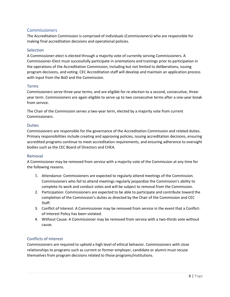# <span id="page-5-0"></span>Commissioners

The Accreditation Commission is comprised of individuals (Commissioners) who are responsible for making final accreditation decisions and operational policies.

### <span id="page-5-1"></span>**Selection**

A Commissioner-elect is elected through a majority vote of currently serving Commissioners. A Commissioner-Elect must successfully participate in orientations and trainings prior to participation in the operations of the Accreditation Commission, including but not limited to deliberations, issuing program decisions, and voting. CEC Accreditation staff will develop and maintain an application process with input from the BoD and the Commission.

### <span id="page-5-2"></span>Terms

Commissioners serve three-year terms; and are eligible for re-election to a second, consecutive, threeyear term. Commissioners are again eligible to serve up to two consecutive terms after a one-year break from service.

The Chair of the Commission serves a two-year term, elected by a majority vote from current Commissioners.

### <span id="page-5-3"></span>**Duties**

Commissioners are responsible for the governance of the Accreditation Commission and related duties. Primary responsibilities include creating and approving policies, issuing accreditation decisions, ensuring accredited programs continue to meet accreditation requirements, and ensuring adherence to oversight bodies such as the CEC Board of Directors and CHEA.

### <span id="page-5-4"></span>Removal

A Commissioner may be removed from service with a majority vote of the Commission at any time for the following reasons.

- 1. Attendance: Commissioners are expected to regularly attend meetings of the Commission. Commissioners who fail to attend meetings regularly jeopardize the Commission's ability to complete its work and conduct votes and will be subject to removal from the Commission.
- 2. Participation: Commissioners are expected to be able to participate and contribute toward the completion of the Commission's duties as directed by the Chair of the Commission and CEC Staff.
- 3. Conflict of Interest: A Commissioner may be removed from service in the event that a Conflictof-Interest Policy has been violated.
- 4. Without Cause: A Commissioner may be removed from service with a two-thirds vote without cause.

# <span id="page-5-5"></span>Conflicts of Interest

Commissioners are required to uphold a high level of ethical behavior. Commissioners with close relationships to programs such as current or former employer, candidate or alumni must recuse themselves from program decisions related to those programs/institutions.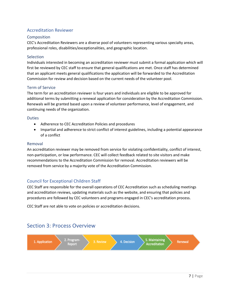# <span id="page-6-0"></span>Accreditation Reviewer

### <span id="page-6-1"></span>Composition

CEC's Accreditation Reviewers are a diverse pool of volunteers representing various specialty areas, professional roles, disabilities/exceptionalities, and geographic location.

### <span id="page-6-2"></span>Selection

Individuals interested in becoming an accreditation reviewer must submit a formal application which will first be reviewed by CEC staff to ensure that general qualifications are met. Once staff has determined that an applicant meets general qualifications the application will be forwarded to the Accreditation Commission for review and decision based on the current needs of the volunteer pool.

### <span id="page-6-3"></span>Term of Service

The term for an accreditation reviewer is four years and individuals are eligible to be approved for additional terms by submitting a renewal application for consideration by the Accreditation Commission. Renewals will be granted based upon a review of volunteer performance, level of engagement, and continuing needs of the organization.

### <span id="page-6-4"></span>**Duties**

- Adherence to CEC Accreditation Policies and procedures
- Impartial and adherence to strict conflict of interest guidelines, including a potential appearance of a conflict

#### <span id="page-6-5"></span>Removal

An accreditation reviewer may be removed from service for violating confidentiality, conflict of interest, non-participation, or low performance. CEC will collect feedback related to site visitors and make recommendations to the Accreditation Commission for removal. Accreditation reviewers will be removed from service by a majority vote of the Accreditation Commission.

# <span id="page-6-6"></span>Council for Exceptional Children Staff

CEC Staff are responsible for the overall operations of CEC Accreditation such as scheduling meetings and accreditation reviews, updating materials such as the website, and ensuring that policies and procedures are followed by CEC volunteers and programs engaged in CEC's accreditation process.

CEC Staff are not able to vote on policies or accreditation decisions.

# <span id="page-6-7"></span>Section 3: Process Overview

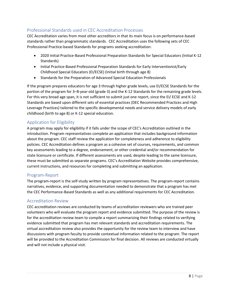# <span id="page-7-0"></span>Professional Standards used in CEC Accreditation Processes

CEC Accreditation varies from most other accreditors in that its main focus is on performance-based standards rather than programmatic standards. CEC Accreditation uses the following sets of CEC Professional Practice-based Standards for programs seeking accreditation:

- 2020 Initial Practice-Based Professional Preparation Standards for Special Educators (Initial K-12 Standards)
- Initial Practice-Based Professional Preparation Standards for Early Interventionist/Early Childhood Special Educators (EI/ECSE) (Initial birth through age 8)
- Standards for the Preparation of Advanced Special Education Professionals

If the program prepares educators for age 3 through higher grade levels, use EI/ECSE Standards for the portion of the program for 3–8-year-old (grade 3) and the K-12 Standards for the remaining grade levels. For this very broad age span, it is not sufficient to submit just one report, since the EI/ ECSE and K-12 Standards are based upon different sets of essential practices (DEC Recommended Practices and High Leverage Practices) tailored to the specific developmental needs and service delivery models of early childhood (birth to age 8) or K-12 special education.

# <span id="page-7-1"></span>Application for Eligibility

A program may apply for eligibility if it falls under the scope of CEC's Accreditation outlined in the introduction. Program representatives complete an application that includes background information about the program. CEC staff review the application for completeness and adherence to eligibility policies. CEC Accreditation defines a program as a cohesive set of courses, requirements, and common key assessments leading to a degree, endorsement, or other credential and/or recommendation for state licensure or certificate. If different assessments are used, despite leading to the same licensure, these must be submitted as separate programs. CEC's Accreditation Website provides comprehensive, current instructions, and resources for completing and submitting an application.

# <span id="page-7-2"></span>Program-Report

The program-report is the self-study written by program representatives. The program-report contains narratives, evidence, and supporting documentation needed to demonstrate that a program has met the CEC Performance-Based Standards as well as any additional requirements for CEC Accreditation.

# <span id="page-7-3"></span>Accreditation Review

CEC accreditation reviews are conducted by teams of accreditation reviewers who are trained peer volunteers who will evaluate the program report and evidence submitted. The purpose of the review is for the accreditation review team to compile a report summarizing their findings related to verifying evidence submitted that program has met relevant standards and accreditation requirements. The virtual accreditation review also provides the opportunity for the review team to interview and have discussions with program faculty to provide contextual information related to the program. The report will be provided to the Accreditation Commission for final decision. All reviews are conducted virtually and will not include a physical visit.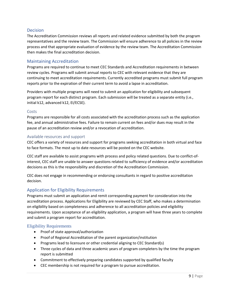### <span id="page-8-0"></span>**Decision**

The Accreditation Commission reviews all reports and related evidence submitted by both the program representatives and the review team. The Commission will ensure adherence to all policies in the review process and that appropriate evaluation of evidence by the review team. The Accreditation Commission then makes the final accreditation decision.

### <span id="page-8-1"></span>Maintaining Accreditation

Programs are required to continue to meet CEC Standards and Accreditation requirements in between review cycles. Programs will submit annual reports to CEC with relevant evidence that they are continuing to meet accreditation requirements. Currently accredited programs must submit full program reports prior to the expiration of their current term to avoid a lapse in accreditation.

Providers with multiple programs will need to submit an application for eligibility and subsequent program report for each distinct program. Each submission will be treated as a separate entity (i.e., initial k12, advanced k12, EI/ECSE).

### <span id="page-8-2"></span>Costs

Programs are responsible for all costs associated with the accreditation process such as the application fee, and annual administrative fees. Failure to remain current on fees and/or dues may result in the pause of an accreditation review and/or a revocation of accreditation.

### <span id="page-8-3"></span>Available resources and support

CEC offers a variety of resources and support for programs seeking accreditation in both virtual and face to face formats. The most up to date resources will be posted on the CEC website.

CEC staff are available to assist programs with process and policy related questions. Due to conflict-ofinterest, CEC staff are unable to answer questions related to sufficiency of evidence and/or accreditation decisions as this is the responsibility and discretion of the Accreditation Commission.

CEC does not engage in recommending or endorsing consultants in regard to positive accreditation decision.

# <span id="page-8-4"></span>Application for Eligibility Requirements

Programs must submit an application and remit corresponding payment for consideration into the accreditation process. Applications for Eligibility are reviewed by CEC Staff, who makes a determination on eligibility based on completeness and adherence to all accreditation policies and eligibility requirements. Upon acceptance of an eligibility application, a program will have three years to complete and submit a program report for accreditation.

### <span id="page-8-5"></span>Eligibility Requirements

- Proof of state approval/authorization
- Proof of Regional Accreditation of the parent organization/institution
- Programs lead to licensure or other credential aligning to CEC Standard(s)
- Three cycles of data and three academic years of program completers by the time the program report is submitted
- Commitment to effectively preparing candidates supported by qualified faculty
- CEC membership is not required for a program to pursue accreditation.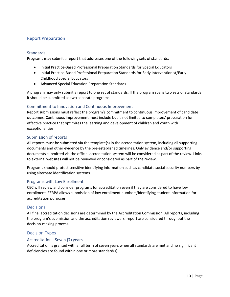# <span id="page-9-0"></span>Report Preparation

### <span id="page-9-1"></span>**Standards**

Programs may submit a report that addresses one of the following sets of standards:

- Initial Practice-Based Professional Preparation Standards for Special Educators
- Initial Practice-Based Professional Preparation Standards for Early Interventionist/Early Childhood Special Educators
- Advanced Special Education Preparation Standards

A program may only submit a report to one set of standards. If the program spans two sets of standards it should be submitted as two separate programs.

### <span id="page-9-2"></span>Commitment to Innovation and Continuous Improvement

Report submissions must reflect the program's commitment to continuous improvement of candidate outcomes. Continuous improvement must include but is not limited to completers' preparation for effective practice that optimizes the learning and development of children and youth with exceptionalities.

### <span id="page-9-3"></span>Submission of reports

All reports must be submitted via the template(s) in the accreditation system, including all supporting documents and other evidence by the pre-established timelines. Only evidence and/or supporting documents submitted via the official accreditation system will be considered as part of the review. Links to external websites will not be reviewed or considered as part of the review.

Programs should protect sensitive identifying information such as candidate social security numbers by using alternate identification systems.

### <span id="page-9-4"></span>Programs with Low Enrollment

CEC will review and consider programs for accreditation even if they are considered to have low enrollment. FERPA allows submission of low enrollment numbers/identifying student information for accreditation purposes

### <span id="page-9-5"></span>Decisions

All final accreditation decisions are determined by the Accreditation Commission. All reports, including the program's submission and the accreditation reviewers' report are considered throughout the decision-making process.

### <span id="page-9-6"></span>Decision Types

### <span id="page-9-7"></span>Accreditation –Seven (7) years

Accreditation is granted with a full term of seven years when all standards are met and no significant deficiencies are found within one or more standard(s).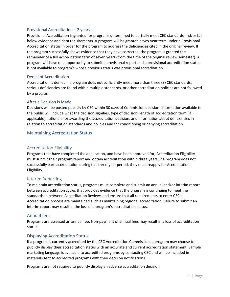### <span id="page-10-0"></span>Provisional Accreditation – 2 years

Provisional Accreditation is granted for programs determined to partially meet CEC standards and/or fall below evidence and data requirements. A program will be granted a two-year term under a Provisional Accreditation status in order for the program to address the deficiencies cited in the original review. If the program successfully shows evidence that they have corrected, the program is granted the remainder of a full accreditation term of seven years (from the time of the original review semester). A program will have one opportunity to submit a provisional report and a provisional accreditation status is not available to program's whose previous status was provisional accreditation

### <span id="page-10-1"></span>Denial of Accreditation

Accreditation is denied if a program does not sufficiently meet more than three (3) CEC standards, serious deficiencies are found within multiple standards, or other accreditation policies are not followed by a program.

### <span id="page-10-2"></span>After a Decision is Made

Decisions will be posted publicly by CEC within 30 days of Commission decision. Information available to the public will include what the decision signifies, type of decision, length of accreditation term (if applicable), rationale for awarding the accreditation decision, and information about deficiencies in relation to accreditation standards and policies and for conditioning or denying accreditation.

### <span id="page-10-3"></span>Maintaining Accreditation Status

### Accreditation Eligibility

Programs that have completed the application, and have been approved for, Accreditation Eligibility must submit their program report and obtain accreditation within three years. If a program does not successfully earn accreditation during this three-year period, they must reapply for Accreditation Eligibility.

### <span id="page-10-4"></span>Interim Reporting

To maintain accreditation status, programs must complete and submit an annual and/or interim report between accreditation cycles that provides evidence that the program is continuing to meet the standards in between Accreditation Reviews and ensure that all requirements to enter CEC's Accreditation process are maintained such as maintaining regional accreditation. Failure to submit an interim report may result in the loss of a program's accreditation status.

### <span id="page-10-5"></span>Annual fees

Programs are assessed an annual fee. Non-payment of annual fees may result in a loss of accreditation status.

### <span id="page-10-6"></span>Displaying Accreditation Status

If a program is currently accredited by the CEC Accreditation Commission, a program may choose to publicly display their accreditation status with an accurate and current accreditation statement. Sample marketing language is available to accredited programs by contacting CEC and will be included in materials sent to accredited programs with their decision notifications.

Programs are not required to publicly display an adverse accreditation decision.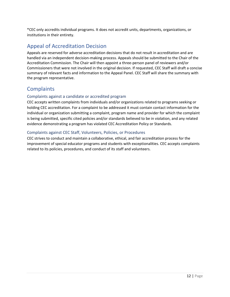\*CEC only accredits individual programs. It does not accredit units, departments, organizations, or institutions in their entirety.

# <span id="page-11-0"></span>Appeal of Accreditation Decision

Appeals are reserved for adverse accreditation decisions that do not result in accreditation and are handled via an independent decision-making process. Appeals should be submitted to the Chair of the Accreditation Commission. The Chair will then appoint a three-person panel of reviewers and/or Commissioners that were not involved in the original decision. If requested, CEC Staff will draft a concise summary of relevant facts and information to the Appeal Panel. CEC Staff will share the summary with the program representative.

# <span id="page-11-1"></span>**Complaints**

### <span id="page-11-2"></span>Complaints against a candidate or accredited program

CEC accepts written complaints from individuals and/or organizations related to programs seeking or holding CEC accreditation. For a complaint to be addressed it must contain contact information for the individual or organization submitting a complaint, program name and provider for which the complaint is being submitted, specific cited policies and/or standards believed to be in violation, and any related evidence demonstrating a program has violated CEC Accreditation Policy or Standards.

### <span id="page-11-3"></span>Complaints against CEC Staff, Volunteers, Policies, or Procedures

CEC strives to conduct and maintain a collaborative, ethical, and fair accreditation process for the improvement of special educator programs and students with exceptionalities. CEC accepts complaints related to its policies, procedures, and conduct of its staff and volunteers.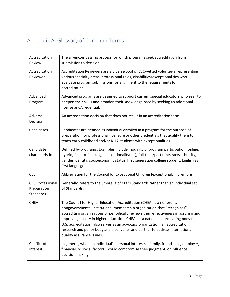# <span id="page-12-0"></span>Appendix A: Glossary of Common Terms

| Accreditation<br>Review                             | The all-encompassing process for which programs seek accreditation from<br>submission to decision.                                                                                                                                                                                                                                                                                                                                                                                                                          |
|-----------------------------------------------------|-----------------------------------------------------------------------------------------------------------------------------------------------------------------------------------------------------------------------------------------------------------------------------------------------------------------------------------------------------------------------------------------------------------------------------------------------------------------------------------------------------------------------------|
| Accreditation<br>Reviewer                           | Accreditation Reviewers are a diverse pool of CEC-vetted volunteers representing<br>various specialty areas, professional roles, disabilities/exceptionalities who<br>evaluate program submissions for alignment to the requirements for<br>accreditation.                                                                                                                                                                                                                                                                  |
| Advanced<br>Program                                 | Advanced programs are designed to support current special educators who seek to<br>deepen their skills and broaden their knowledge base by seeking an additional<br>license and/credential.                                                                                                                                                                                                                                                                                                                                 |
| Adverse<br>Decision                                 | An accreditation decision that does not result in an accreditation term.                                                                                                                                                                                                                                                                                                                                                                                                                                                    |
| Candidates                                          | Candidates are defined as individual enrolled in a program for the purpose of<br>preparation for professional licensure or other credentials that qualify them to<br>teach early childhood and/or K-12 students with exceptionalities.                                                                                                                                                                                                                                                                                      |
| Candidate<br>characteristics                        | Defined by programs. Examples include modality of program participation (online,<br>hybrid, face-to-face), age, exceptionality(ies), full-time/part time, race/ethnicity,<br>gender identity, socioeconomic status, first generation college student, English as<br>first language                                                                                                                                                                                                                                          |
| <b>CEC</b>                                          | Abbreviation for the Council for Exceptional Children [exceptionalchildren.org]                                                                                                                                                                                                                                                                                                                                                                                                                                             |
| <b>CEC Professional</b><br>Preparation<br>Standards | Generally, refers to the umbrella of CEC's Standards rather than an individual set<br>of Standards.                                                                                                                                                                                                                                                                                                                                                                                                                         |
| <b>CHEA</b>                                         | The Council for Higher Education Accreditation (CHEA) is a nonprofit,<br>nongovernmental institutional membership organization that "recognizes"<br>accrediting organizations or periodically reviews their effectiveness in assuring and<br>improving quality in higher education. CHEA, as a national coordinating body for<br>U.S. accreditation, also serves as an advocacy organization, an accreditation<br>research and policy body and a convener and partner to address international<br>quality assurance issues. |
| Conflict of<br>Interest                             | In general, when an individual's personal interests - family, friendships, employer,<br>financial, or social factors - could compromise their judgment, or influence<br>decision making.                                                                                                                                                                                                                                                                                                                                    |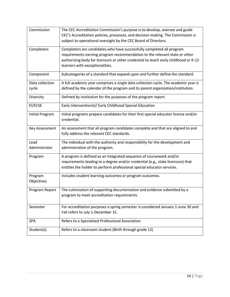| Commission               | The CEC Accreditation Commission's purpose is to develop, oversee and guide<br>CEC's Accreditation policies, processes, and decision-making. The Commission is<br>subject to operational oversight by the CEC Board of Directors.                                             |
|--------------------------|-------------------------------------------------------------------------------------------------------------------------------------------------------------------------------------------------------------------------------------------------------------------------------|
| Completers               | Completers are candidates who have successfully completed all program<br>requirements earning program recommendation to the relevant state or other<br>authorizing body for licensure or other credential to teach early childhood or K-12<br>learners with exceptionalities. |
| Component                | Subcategories of a standard that expand upon and further define the standard.                                                                                                                                                                                                 |
| Data collection<br>cycle | A full academic year comprises a single data collection cycle. The academic year is<br>defined by the calendar of the program and its parent organization/institution.                                                                                                        |
| Diversity                | Defined by institution for the purposes of the program report.                                                                                                                                                                                                                |
| EI/ECSE                  | Early Interventionist/ Early Childhood Special Education                                                                                                                                                                                                                      |
| Initial Program          | Initial programs prepare candidates for their first special educator license and/or<br>credential.                                                                                                                                                                            |
| Key Assessment           | An assessment that all program candidates complete and that are aligned to and<br>fully address the relevant CEC standards.                                                                                                                                                   |
| Lead<br>Administrator    | The individual with the authority and responsibility for the development and<br>administration of the program.                                                                                                                                                                |
| Program                  | A program is defined as an integrated sequence of coursework and/or<br>requirements leading to a degree and/or credential (e.g., state licensure) that<br>entitles the holder to perform professional special educator services.                                              |
| Program<br>Objectives    | Includes student learning outcomes or program outcomes.                                                                                                                                                                                                                       |
| Program Report           | The culmination of supporting documentation and evidence submitted by a<br>program to meet accreditation requirements.                                                                                                                                                        |
| Semester                 | For accreditation purposes a spring semester is considered January 1-June 30 and<br>Fall refers to July 1-December 31.                                                                                                                                                        |
| SPA                      | Refers to a Specialized Professional Association                                                                                                                                                                                                                              |
| Student(s)               | Refers to a classroom student (Birth through grade 12)                                                                                                                                                                                                                        |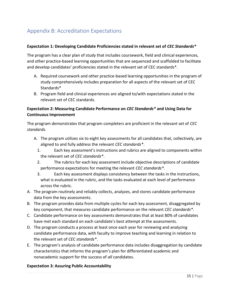# <span id="page-14-0"></span>Appendix B: Accreditation Expectations

### **Expectation 1: Developing Candidate Proficiencies stated in relevant set of** *CEC Standards\**

The program has a clear plan of study that includes coursework, field and clinical experiences, and other practice-based learning opportunities that are sequenced and scaffolded to facilitate and develop candidates' proficiencies stated in the relevant set of CEC standards\*.

- A. Required coursework and other practice-based learning opportunities in the program of study comprehensively includes preparation for all aspects of the relevant set of CEC Standards\*
- B. Program field and clinical experiences are aligned to/with expectations stated in the relevant set of CEC standards.

# **Expectation 2: Measuring Candidate Performance on** *CEC Standards\** **and Using Data for Continuous Improvement**

The program demonstrates that program completers are proficient in the relevant set of *CEC standards*.

- A. The program utilizes six to eight key assessments for all candidates that, collectively, are aligned to and fully address the relevant *CEC standards\**.
	- 1. Each key assessment's instructions and rubrics are aligned to components within the relevant set of *CEC standards\**.
	- 2. The rubrics for each key assessment include objective descriptions of candidate performance expectations for meeting the relevant *CEC standards\**.
	- 3. Each key assessment displays consistency between the tasks in the instructions, what is evaluated in the rubric, and the tasks evaluated at each level of performance across the rubric.
- A. The program routinely and reliably collects, analyzes, and stores candidate performance data from the key assessments.
- B. The program provides data from multiple cycles for each key assessment, disaggregated by key component, that measures candidate performance on the relevant *CEC standards\**.
- C. Candidate performance on key assessments demonstrates that at least 80% of candidates have met each standard on each candidate's best attempt at the assessments.
- D. The program conducts a process at least once each year for reviewing and analyzing candidate performance data, with faculty to improve teaching and learning in relation to the relevant set of *CEC standards\**.
- E. The program's analysis of candidate performance data includes disaggregation by candidate characteristics that informs the program's plan for differentiated academic and nonacademic support for the success of *all* candidates.

### **Expectation 3: Assuring Public Accountability**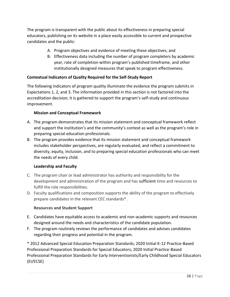The program is transparent with the public about its effectiveness in preparing special educators, publishing on its website in a place easily accessible to current and prospective candidates and the public:

- A. Program objectives and evidence of meeting these objectives; and
- B. Effectiveness data including the number of program completers by academic year, rate of completion within program's published timeframe, and other institutionally designed measures that speak to program effectiveness.

# **Contextual Indicators of Quality Required for the Self-Study Report**

The following indicators of program quality illuminate the evidence the program submits in Expectations 1, 2, and 3. The information provided in this section is not factored into the accreditation decision; it is gathered to support the program's self-study and continuous improvement.

### **Mission and Conceptual Framework**

- A. The program demonstrates that its mission statement and conceptual framework reflect and support the institution's and the community's context as well as the program's role in preparing special education professionals.
- B. The program provides evidence that its mission statement and conceptual framework includes stakeholder perspectives, are regularly evaluated, and reflect a commitment to diversity, equity, inclusion, and to preparing special education professionals who can meet the needs of every child.

# **Leadership and Faculty**

- C. The program chair or lead administrator has authority and responsibility for the development and administration of the program and has sufficient time and resources to fulfill the role responsibilities.
- D. Faculty qualifications and composition supports the ability of the program to effectively prepare candidates in the relevant CEC standards\*.

# **Resources and Student Support**

- E. Candidates have equitable access to academic and non-academic supports and resources designed around the needs and characteristics of the candidate population.
- F. The program routinely reviews the performance of candidates and advises candidates regarding their progress and potential in the program.

\* 2012 Advanced Special Education Preparation Standards; 2020 Initial K-12 Practice-Based Professional Preparation Standards for Special Educators; 2020 Initial Practice-Based Professional Preparation Standards for Early Interventionists/Early Childhood Special Educators (EI/ECSE)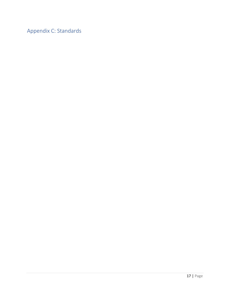<span id="page-16-0"></span>Appendix C: Standards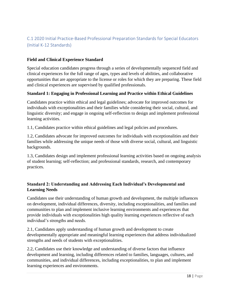# <span id="page-17-0"></span>C.1 2020 Initial Practice-Based Professional Preparation Standards for Special Educators (Initial K-12 Standards)

# **Field and Clinical Experience Standard**

Special education candidates progress through a series of developmentally sequenced field and clinical experiences for the full range of ages, types and levels of abilities, and collaborative opportunities that are appropriate to the license or roles for which they are preparing. These field and clinical experiences are supervised by qualified professionals.

### **Standard 1: Engaging in Professional Learning and Practice within Ethical Guidelines**

Candidates practice within ethical and legal guidelines; advocate for improved outcomes for individuals with exceptionalities and their families while considering their social, cultural, and linguistic diversity; and engage in ongoing self-reflection to design and implement professional learning activities.

1.1, Candidates practice within ethical guidelines and legal policies and procedures.

1.2, Candidates advocate for improved outcomes for individuals with exceptionalities and their families while addressing the unique needs of those with diverse social, cultural, and linguistic backgrounds.

1.3, Candidates design and implement professional learning activities based on ongoing analysis of student learning; self-reflection; and professional standards, research, and contemporary practices.

# **Standard 2: Understanding and Addressing Each Individual's Developmental and Learning Needs**

Candidates use their understanding of human growth and development, the multiple influences on development, individual differences, diversity, including exceptionalities, and families and communities to plan and implement inclusive learning environments and experiences that provide individuals with exceptionalities high quality learning experiences reflective of each individual's strengths and needs.

2.1, Candidates apply understanding of human growth and development to create developmentally appropriate and meaningful learning experiences that address individualized strengths and needs of students with exceptionalities.

2.2, Candidates use their knowledge and understanding of diverse factors that influence development and learning, including differences related to families, languages, cultures, and communities, and individual differences, including exceptionalities, to plan and implement learning experiences and environments.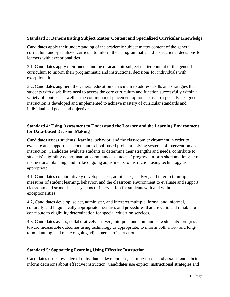# **Standard 3: Demonstrating Subject Matter Content and Specialized Curricular Knowledge**

Candidates apply their understanding of the academic subject matter content of the general curriculum and specialized curricula to inform their programmatic and instructional decisions for learners with exceptionalities.

3.1, Candidates apply their understanding of academic subject matter content of the general curriculum to inform their programmatic and instructional decisions for individuals with exceptionalities.

3.2, Candidates augment the general education curriculum to address skills and strategies that students with disabilities need to access the core curriculum and function successfully within a variety of contexts as well as the continuum of placement options to assure specially designed instruction is developed and implemented to achieve mastery of curricular standards and individualized goals and objectives.

# **Standard 4: Using Assessment to Understand the Learner and the Learning Environment for Data-Based Decision Making**

Candidates assess students' learning, behavior, and the classroom environment in order to evaluate and support classroom and school-based problem-solving systems of intervention and instruction. Candidates evaluate students to determine their strengths and needs, contribute to students' eligibility determination, communicate students' progress, inform short and long-term instructional planning, and make ongoing adjustments to instruction using technology as appropriate.

4.1, Candidates collaboratively develop, select, administer, analyze, and interpret multiple measures of student learning, behavior, and the classroom environment to evaluate and support classroom and school-based systems of intervention for students with and without exceptionalities.

4.2, Candidates develop, select, administer, and interpret multiple, formal and informal, culturally and linguistically appropriate measures and procedures that are valid and reliable to contribute to eligibility determination for special education services.

4.3, Candidates assess, collaboratively analyze, interpret, and communicate students' progress toward measurable outcomes using technology as appropriate, to inform both short- and longterm planning, and make ongoing adjustments to instruction.

# **Standard 5: Supporting Learning Using Effective Instruction**

Candidates use knowledge of individuals' development, learning needs, and assessment data to inform decisions about effective instruction. Candidates use explicit instructional strategies and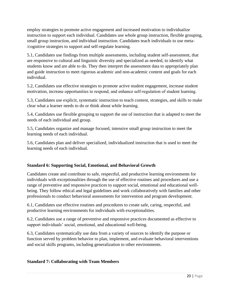employ strategies to promote active engagement and increased motivation to individualize instruction to support each individual. Candidates use whole group instruction, flexible grouping, small group instruction, and individual instruction. Candidates teach individuals to use meta- /cognitive strategies to support and self-regulate learning.

5.1, Candidates use findings from multiple assessments, including student self-assessment, that are responsive to cultural and linguistic diversity and specialized as needed, to identify what students know and are able to do. They then interpret the assessment data to appropriately plan and guide instruction to meet rigorous academic and non-academic content and goals for each individual.

5.2, Candidates use effective strategies to promote active student engagement, increase student motivation, increase opportunities to respond, and enhance self‐regulation of student learning.

5.3, Candidates use explicit, systematic instruction to teach content, strategies, and skills to make clear what a learner needs to do or think about while learning.

5.4, Candidates use flexible grouping to support the use of instruction that is adapted to meet the needs of each individual and group.

5.5, Candidates organize and manage focused, intensive small group instruction to meet the learning needs of each individual.

5.6, Candidates plan and deliver specialized, individualized instruction that is used to meet the learning needs of each individual.

# **Standard 6: Supporting Social, Emotional, and Behavioral Growth**

Candidates create and contribute to safe, respectful, and productive learning environments for individuals with exceptionalities through the use of effective routines and procedures and use a range of preventive and responsive practices to support social, emotional and educational wellbeing. They follow ethical and legal guidelines and work collaboratively with families and other professionals to conduct behavioral assessments for intervention and program development.

6.1, Candidates use effective routines and procedures to create safe, caring, respectful, and productive learning environments for individuals with exceptionalities.

6.2, Candidates use a range of preventive and responsive practices documented as effective to support individuals' social, emotional, and educational well-being.

6.3, Candidates systematically use data from a variety of sources to identify the purpose or function served by problem behavior to plan, implement, and evaluate behavioral interventions and social skills programs, including generalization to other environments.

# **Standard 7: Collaborating with Team Members**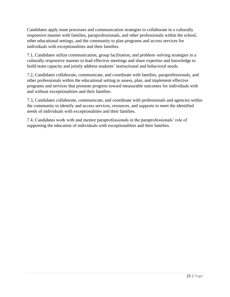Candidates apply team processes and communication strategies to collaborate in a culturally responsive manner with families, paraprofessionals, and other professionals within the school, other educational settings, and the community to plan programs and access services for individuals with exceptionalities and their families.

7.1, Candidates utilize communication, group facilitation, and problem–solving strategies in a culturally responsive manner to lead effective meetings and share expertise and knowledge to build team capacity and jointly address students' instructional and behavioral needs.

7.2, Candidates collaborate, communicate, and coordinate with families, paraprofessionals, and other professionals within the educational setting to assess, plan, and implement effective programs and services that promote progress toward measurable outcomes for individuals with and without exceptionalities and their families.

7.3, Candidates collaborate, communicate, and coordinate with professionals and agencies within the community to identify and access services, resources, and supports to meet the identified needs of individuals with exceptionalities and their families.

7.4, Candidates work with and mentor paraprofessionals in the paraprofessionals' role of supporting the education of individuals with exceptionalities and their families.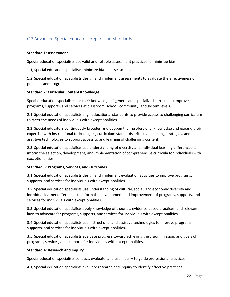# <span id="page-21-0"></span>C.2 Advanced Special Educator Preparation Standards

#### **Standard 1: Assessment**

Special education specialists use valid and reliable assessment practices to minimize bias.

1.1, Special education specialists minimize bias in assessment.

1.2, Special education specialists design and implement assessments to evaluate the effectiveness of practices and programs.

#### **Standard 2: Curricular Content Knowledge**

Special education specialists use their knowledge of general and specialized curricula to improve programs, supports, and services at classroom, school, community, and system levels.

2.1, Special education specialists align educational standards to provide access to challenging curriculum to meet the needs of individuals with exceptionalities.

2.2, Special educators continuously broaden and deepen their professional knowledge and expand their expertise with instructional technologies, curriculum standards, effective teaching strategies, and assistive technologies to support access to and learning of challenging content.

2.3, Special education specialists use understanding of diversity and individual learning differences to inform the selection, development, and implementation of comprehensive curricula for individuals with exceptionalities.

### **Standard 3: Programs, Services, and Outcomes**

3.1, Special education specialists design and implement evaluation activities to improve programs, supports, and services for individuals with exceptionalities.

3.2, Special education specialists use understanding of cultural, social, and economic diversity and individual learner differences to inform the development and improvement of programs, supports, and services for individuals with exceptionalities.

3.3, Special education specialists apply knowledge of theories, evidence-based practices, and relevant laws to advocate for programs, supports, and services for individuals with exceptionalities.

3.4, Special education specialists use instructional and assistive technologies to improve programs, supports, and services for individuals with exceptionalities.

3.5, Special education specialists evaluate progress toward achieving the vision, mission, and goals of programs, services, and supports for individuals with exceptionalities.

### **Standard 4: Research and Inquiry**

Special education specialists conduct, evaluate, and use inquiry to guide professional practice.

4.1, Special education specialists evaluate research and inquiry to identify effective practices.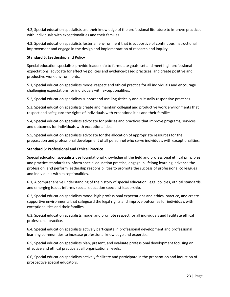4.2, Special education specialists use their knowledge of the professional literature to improve practices with individuals with exceptionalities and their families.

4.3, Special education specialists foster an environment that is supportive of continuous instructional improvement and engage in the design and implementation of research and inquiry.

### **Standard 5: Leadership and Policy**

Special education specialists provide leadership to formulate goals, set and meet high professional expectations, advocate for effective policies and evidence-based practices, and create positive and productive work environments.

5.1, Special education specialists model respect and ethical practice for all individuals and encourage challenging expectations for individuals with exceptionalities.

5.2, Special education specialists support and use linguistically and culturally responsive practices.

5.3, Special education specialists create and maintain collegial and productive work environments that respect and safeguard the rights of individuals with exceptionalities and their families.

5.4, Special education specialists advocate for policies and practices that improve programs, services, and outcomes for individuals with exceptionalities.

5.5, Special education specialists advocate for the allocation of appropriate resources for the preparation and professional development of all personnel who serve individuals with exceptionalities.

### **Standard 6: Professional and Ethical Practice**

Special education specialists use foundational knowledge of the field and professional ethical principles and practice standards to inform special education practice, engage in lifelong learning, advance the profession, and perform leadership responsibilities to promote the success of professional colleagues and individuals with exceptionalities.

6.1, A comprehensive understanding of the history of special education, legal policies, ethical standards, and emerging issues informs special education specialist leadership.

6.2, Special education specialists model high professional expectations and ethical practice, and create supportive environments that safeguard the legal rights and improve outcomes for individuals with exceptionalities and their families.

6.3, Special education specialists model and promote respect for all individuals and facilitate ethical professional practice.

6.4, Special education specialists actively participate in professional development and professional learning communities to increase professional knowledge and expertise.

6.5, Special education specialists plan, present, and evaluate professional development focusing on effective and ethical practice at all organizational levels.

6.6, Special education specialists actively facilitate and participate in the preparation and induction of prospective special educators.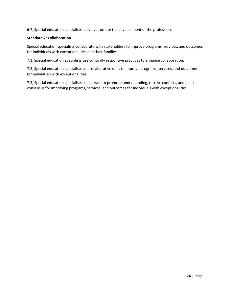6.7, Special education specialists actively promote the advancement of the profession.

### **Standard 7: Collaboration**

Special education specialists collaborate with stakeholders to improve programs, services, and outcomes for individuals with exceptionalities and their families.

7.1, Special education specialists use culturally responsive practices to enhance collaboration.

7.2, Special education specialists use collaborative skills to improve programs, services, and outcomes for individuals with exceptionalities.

7.3, Special education specialists collaborate to promote understanding, resolve conflicts, and build consensus for improving programs, services, and outcomes for individuals with exceptionalities.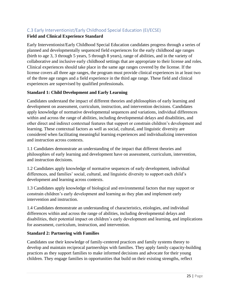# <span id="page-24-0"></span>C.3 Early Interventionist/Early Childhood Special Education (EI/ECSE)

# **Field and Clinical Experience Standard**

Early Interventionist/Early Childhood Special Education candidates progress through a series of planned and developmentally sequenced field experiences for the early childhood age ranges (birth to age 3, 3 through 5 years, 5 through 8 years), range of abilities, and in the variety of collaborative and inclusive early childhood settings that are appropriate to their license and roles. Clinical experiences should take place in the same age ranges covered by the license. If the license covers all three age ranges, the program must provide clinical experiences in at least two of the three age ranges and a field experience in the third age range. These field and clinical experiences are supervised by qualified professionals.

# **Standard 1: Child Development and Early Learning**

Candidates understand the impact of different theories and philosophies of early learning and development on assessment, curriculum, instruction, and intervention decisions. Candidates apply knowledge of normative developmental sequences and variations, individual differences within and across the range of abilities, including developmental delays and disabilities, and other direct and indirect contextual features that support or constrain children's development and learning. These contextual factors as well as social, cultural, and linguistic diversity are considered when facilitating meaningful learning experiences and individualizing intervention and instruction across contexts.

1.1 Candidates demonstrate an understanding of the impact that different theories and philosophies of early learning and development have on assessment, curriculum, intervention, and instruction decisions.

1.2 Candidates apply knowledge of normative sequences of early development, individual differences, and families' social, cultural, and linguistic diversity to support each child's development and learning across contexts.

1.3 Candidates apply knowledge of biological and environmental factors that may support or constrain children's early development and learning as they plan and implement early intervention and instruction.

1.4 Candidates demonstrate an understanding of characteristics, etiologies, and individual differences within and across the range of abilities, including developmental delays and disabilities, their potential impact on children's early development and learning, and implications for assessment, curriculum, instruction, and intervention.

# **Standard 2: Partnering with Families**

Candidates use their knowledge of family-centered practices and family systems theory to develop and maintain reciprocal partnerships with families. They apply family capacity-building practices as they support families to make informed decisions and advocate for their young children. They engage families in opportunities that build on their existing strengths, reflect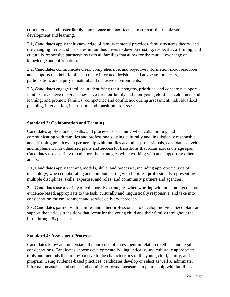current goals, and foster family competence and confidence to support their children's development and learning.

2.1, Candidates apply their knowledge of family-centered practices, family systems theory, and the changing needs and priorities in families' lives to develop trusting, respectful, affirming, and culturally responsive partnerships with all families that allow for the mutual exchange of knowledge and information.

2.2, Candidates communicate clear, comprehensive, and objective information about resources and supports that help families to make informed decisions and advocate for access, participation, and equity in natural and inclusive environments.

2.3, Candidates engage families in identifying their strengths, priorities, and concerns; support families to achieve the goals they have for their family and their young child's development and learning; and promote families' competence and confidence during assessment, individualized planning, intervention, instruction, and transition processes.

# **Standard 3: Collaboration and Teaming**

Candidates apply models, skills, and processes of teaming when collaborating and communicating with families and professionals, using culturally and linguistically responsive and affirming practices. In partnership with families and other professionals, candidates develop and implement individualized plans and successful transitions that occur across the age span. Candidates use a variety of collaborative strategies while working with and supporting other adults.

3.1, Candidates apply teaming models, skills, and processes, including appropriate uses of technology, when collaborating and communicating with families; professionals representing multiple disciplines, skills, expertise, and roles; and community partners and agencies.

3.2, Candidates use a variety of collaborative strategies when working with other adults that are evidence-based, appropriate to the task, culturally and linguistically responsive, and take into consideration the environment and service delivery approach.

3.3, Candidates partner with families and other professionals to develop individualized plans and support the various transitions that occur for the young child and their family throughout the birth through 8 age span.

# **Standard 4: Assessment Processes**

Candidates know and understand the purposes of assessment in relation to ethical and legal considerations. Candidates choose developmentally, linguistically, and culturally appropriate tools and methods that are responsive to the characteristics of the young child, family, and program. Using evidence-based practices, candidates develop or select as well as administer informal measures, and select and administer formal measures in partnership with families and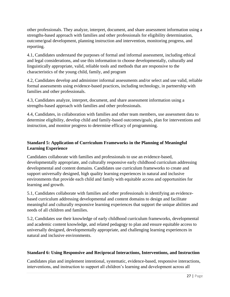other professionals. They analyze, interpret, document, and share assessment information using a strengths-based approach with families and other professionals for eligibility determination, outcome/goal development, planning instruction and intervention, monitoring progress, and reporting.

4.1, Candidates understand the purposes of formal and informal assessment, including ethical and legal considerations, and use this information to choose developmentally, culturally and linguistically appropriate, valid, reliable tools and methods that are responsive to the characteristics of the young child, family, and program

4.2, Candidates develop and administer informal assessments and/or select and use valid, reliable formal assessments using evidence-based practices, including technology, in partnership with families and other professionals.

4.3, Candidates analyze, interpret, document, and share assessment information using a strengths-based approach with families and other professionals.

4.4, Candidates, in collaboration with families and other team members, use assessment data to determine eligibility, develop child and family-based outcomes/goals, plan for interventions and instruction, and monitor progress to determine efficacy of programming.

# **Standard 5: Application of Curriculum Frameworks in the Planning of Meaningful Learning Experience**

Candidates collaborate with families and professionals to use an evidence-based, developmentally appropriate, and culturally responsive early childhood curriculum addressing developmental and content domains. Candidates use curriculum frameworks to create and support universally designed, high quality learning experiences in natural and inclusive environments that provide each child and family with equitable access and opportunities for learning and growth.

5.1, Candidates collaborate with families and other professionals in identifying an evidencebased curriculum addressing developmental and content domains to design and facilitate meaningful and culturally responsive learning experiences that support the unique abilities and needs of all children and families.

5.2, Candidates use their knowledge of early childhood curriculum frameworks, developmental and academic content knowledge, and related pedagogy to plan and ensure equitable access to universally designed, developmentally appropriate, and challenging learning experiences in natural and inclusive environments.

# **Standard 6: Using Responsive and Reciprocal Interactions, Interventions, and Instruction**

Candidates plan and implement intentional, systematic, evidence-based, responsive interactions, interventions, and instruction to support all children's learning and development across all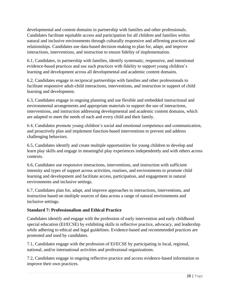developmental and content domains in partnership with families and other professionals. Candidates facilitate equitable access and participation for all children and families within natural and inclusive environments through culturally responsive and affirming practices and relationships. Candidates use data-based decision-making to plan for, adapt, and improve interactions, interventions, and instruction to ensure fidelity of implementation.

6.1, Candidates, in partnership with families, identify systematic, responsive, and intentional evidence-based practices and use such practices with fidelity to support young children's learning and development across all developmental and academic content domains.

6.2, Candidates engage in reciprocal partnerships with families and other professionals to facilitate responsive adult-child interactions, interventions, and instruction in support of child learning and development.

6.3, Candidates engage in ongoing planning and use flexible and embedded instructional and environmental arrangements and appropriate materials to support the use of interactions, interventions, and instruction addressing developmental and academic content domains, which are adapted to meet the needs of each and every child and their family.

6.4, Candidates promote young children's social and emotional competence and communication, and proactively plan and implement function-based interventions to prevent and address challenging behaviors.

6.5, Candidates identify and create multiple opportunities for young children to develop and learn play skills and engage in meaningful play experiences independently and with others across contexts.

6.6, Candidates use responsive interactions, interventions, and instruction with sufficient intensity and types of support across activities, routines, and environments to promote child learning and development and facilitate access, participation, and engagement in natural environments and inclusive settings.

6.7, Candidates plan for, adapt, and improve approaches to interactions, interventions, and instruction based on multiple sources of data across a range of natural environments and inclusive settings.

# **Standard 7: Professionalism and Ethical Practice**

Candidates identify and engage with the profession of early intervention and early childhood special education (EI/ECSE) by exhibiting skills in reflective practice, advocacy, and leadership while adhering to ethical and legal guidelines. Evidence-based and recommended practices are promoted and used by candidates.

7.1, Candidates engage with the profession of EI/ECSE by participating in local, regional, national, and/or international activities and professional organizations.

7.2, Candidates engage in ongoing reflective practice and access evidence-based information to improve their own practices.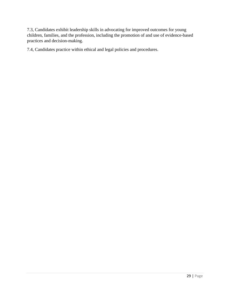7.3, Candidates exhibit leadership skills in advocating for improved outcomes for young children, families, and the profession, including the promotion of and use of evidence-based practices and decision-making.

7.4, Candidates practice within ethical and legal policies and procedures.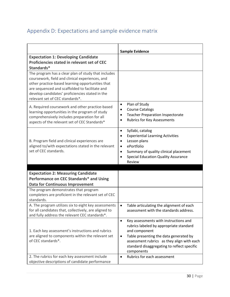# <span id="page-29-0"></span>Appendix D: Expectations and sample evidence matrix

|                                                                                                                                                                                                                                                                                                    | <b>Sample Evidence</b>                                                                                                                                                                                                                                                           |
|----------------------------------------------------------------------------------------------------------------------------------------------------------------------------------------------------------------------------------------------------------------------------------------------------|----------------------------------------------------------------------------------------------------------------------------------------------------------------------------------------------------------------------------------------------------------------------------------|
| <b>Expectation 1: Developing Candidate</b><br>Proficiencies stated in relevant set of CEC                                                                                                                                                                                                          |                                                                                                                                                                                                                                                                                  |
| Standards*                                                                                                                                                                                                                                                                                         |                                                                                                                                                                                                                                                                                  |
| The program has a clear plan of study that includes<br>coursework, field and clinical experiences, and<br>other practice-based learning opportunities that<br>are sequenced and scaffolded to facilitate and<br>develop candidates' proficiencies stated in the<br>relevant set of CEC standards*. |                                                                                                                                                                                                                                                                                  |
| A. Required coursework and other practice-based<br>learning opportunities in the program of study<br>comprehensively includes preparation for all<br>aspects of the relevant set of CEC Standards*                                                                                                 | Plan of Study<br>$\bullet$<br><b>Course Catalogs</b><br>$\bullet$<br><b>Teacher Preparation Inspectorate</b><br>$\bullet$<br><b>Rubrics for Key Assessments</b><br>$\bullet$                                                                                                     |
| B. Program field and clinical experiences are<br>aligned to/with expectations stated in the relevant<br>set of CEC standards.                                                                                                                                                                      | Syllabi, catalog<br>$\bullet$<br><b>Experiential Learning Activities</b><br>$\bullet$<br>Lesson plans<br>$\bullet$<br>ePortfolio<br>$\bullet$<br>Summary of quality clinical placement<br>$\bullet$<br><b>Special Education Quality Assurance</b><br>$\bullet$<br>Review         |
|                                                                                                                                                                                                                                                                                                    |                                                                                                                                                                                                                                                                                  |
| <b>Expectation 2: Measuring Candidate</b>                                                                                                                                                                                                                                                          |                                                                                                                                                                                                                                                                                  |
| Performance on CEC Standards* and Using                                                                                                                                                                                                                                                            |                                                                                                                                                                                                                                                                                  |
| <b>Data for Continuous Improvement</b>                                                                                                                                                                                                                                                             |                                                                                                                                                                                                                                                                                  |
| The program demonstrates that program<br>completers are proficient in the relevant set of CEC<br>standards.                                                                                                                                                                                        |                                                                                                                                                                                                                                                                                  |
| A. The program utilizes six to eight key assessments<br>for all candidates that, collectively, are aligned to<br>and fully address the relevant CEC standards*.                                                                                                                                    | Table articulating the alignment of each<br>$\bullet$<br>assessment with the standards address.                                                                                                                                                                                  |
| 1. Each key assessment's instructions and rubrics<br>are aligned to components within the relevant set<br>of CEC standards*.                                                                                                                                                                       | Key assessments with instructions and<br>$\bullet$<br>rubrics labeled by appropriate standard<br>and component<br>Table presenting the data generated by<br>$\bullet$<br>assessment rubrics as they align with each<br>standard disaggregating to reflect specific<br>components |
| 2. The rubrics for each key assessment include<br>objective descriptions of candidate performance                                                                                                                                                                                                  | Rubrics for each assessment<br>$\bullet$                                                                                                                                                                                                                                         |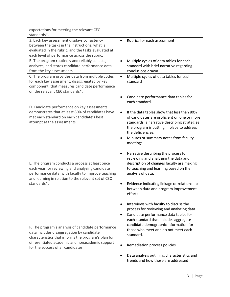| expectations for meeting the relevant CEC<br>standards*.                                                                                                                                                                                        |                                                                                                                                                                                                                                                                                                                                                                                                                                                                               |
|-------------------------------------------------------------------------------------------------------------------------------------------------------------------------------------------------------------------------------------------------|-------------------------------------------------------------------------------------------------------------------------------------------------------------------------------------------------------------------------------------------------------------------------------------------------------------------------------------------------------------------------------------------------------------------------------------------------------------------------------|
| 3. Each key assessment displays consistency<br>between the tasks in the instructions, what is<br>evaluated in the rubric, and the tasks evaluated at<br>each level of performance across the rubric.                                            | Rubrics for each assessment<br>$\bullet$                                                                                                                                                                                                                                                                                                                                                                                                                                      |
| B. The program routinely and reliably collects,<br>analyzes, and stores candidate performance data<br>from the key assessments.                                                                                                                 | Multiple cycles of data tables for each<br>$\bullet$<br>standard with brief narrative regarding<br>conclusions drawn                                                                                                                                                                                                                                                                                                                                                          |
| C. The program provides data from multiple cycles<br>for each key assessment, disaggregated by key<br>component, that measures candidate performance<br>on the relevant CEC standards*.                                                         | Multiple cycles of data tables for each<br>$\bullet$<br>standard                                                                                                                                                                                                                                                                                                                                                                                                              |
| D. Candidate performance on key assessments                                                                                                                                                                                                     | Candidate performance data tables for<br>$\bullet$<br>each standard.                                                                                                                                                                                                                                                                                                                                                                                                          |
| demonstrates that at least 80% of candidates have<br>met each standard on each candidate's best<br>attempt at the assessments.                                                                                                                  | If the data tables show that less than 80%<br>$\bullet$<br>of candidates are proficient on one or more<br>standards, a narrative describing strategies<br>the program is putting in place to address<br>the deficiencies.                                                                                                                                                                                                                                                     |
| E. The program conducts a process at least once<br>each year for reviewing and analyzing candidate<br>performance data, with faculty to improve teaching<br>and learning in relation to the relevant set of CEC<br>standards*.                  | Minutes or summary notes from faculty<br>$\bullet$<br>meetings<br>Narrative describing the process for<br>$\bullet$<br>reviewing and analyzing the data and<br>description of changes faculty are making<br>to teaching and learning based on their<br>analysis of data.<br>Evidence indicating linkage or relationship<br>$\bullet$<br>between data and program improvement<br>efforts<br>Interviews with faculty to discuss the<br>process for reviewing and analyzing data |
| F. The program's analysis of candidate performance<br>data includes disaggregation by candidate<br>characteristics that informs the program's plan for<br>differentiated academic and nonacademic support<br>for the success of all candidates. | Candidate performance data tables for<br>$\bullet$<br>each standard that includes aggregate<br>candidate demographic information for<br>those who meet and do not meet each<br>standard.<br>Remediation process policies<br>Data analysis outlining characteristics and<br>$\bullet$                                                                                                                                                                                          |
|                                                                                                                                                                                                                                                 | trends and how those are addressed                                                                                                                                                                                                                                                                                                                                                                                                                                            |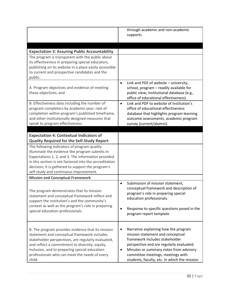|                                                                                                                                                                                                                                                                                                                      | through academic and non-academic<br>supports                                                                                                                                                                                                                                                           |
|----------------------------------------------------------------------------------------------------------------------------------------------------------------------------------------------------------------------------------------------------------------------------------------------------------------------|---------------------------------------------------------------------------------------------------------------------------------------------------------------------------------------------------------------------------------------------------------------------------------------------------------|
| <b>Expectation 3: Assuring Public Accountability</b>                                                                                                                                                                                                                                                                 |                                                                                                                                                                                                                                                                                                         |
| The program is transparent with the public about<br>its effectiveness in preparing special educators,<br>publishing on its website in a place easily accessible<br>to current and prospective candidates and the<br>public:                                                                                          |                                                                                                                                                                                                                                                                                                         |
| A. Program objectives and evidence of meeting<br>these objectives; and                                                                                                                                                                                                                                               | Link and PDF of website - university,<br>$\bullet$<br>school, program - readily available for<br>public view; institutional database (e.g.,<br>office of educational effectiveness).                                                                                                                    |
| B. Effectiveness data including the number of<br>program completers by academic year, rate of<br>completion within program's published timeframe,<br>and other institutionally designed measures that<br>speak to program effectiveness.                                                                             | Link and PDF to website of institution's<br>$\bullet$<br>office of educational effectiveness<br>database that highlights program learning<br>outcome assessments, academic program<br>survey (current/alumni).                                                                                          |
| <b>Expectation 4: Contextual Indicators of</b>                                                                                                                                                                                                                                                                       |                                                                                                                                                                                                                                                                                                         |
| <b>Quality Required for the Self-Study Report</b>                                                                                                                                                                                                                                                                    |                                                                                                                                                                                                                                                                                                         |
| The following indicators of program quality<br>illuminate the evidence the program submits in<br>Expectations 1, 2, and 3. The information provided<br>in this section is not factored into the accreditation<br>decision; it is gathered to support the program's<br>self-study and continuous improvement.         |                                                                                                                                                                                                                                                                                                         |
| <b>Mission and Conceptual Framework</b>                                                                                                                                                                                                                                                                              |                                                                                                                                                                                                                                                                                                         |
| The program demonstrates that its mission<br>statement and conceptual framework reflect and<br>support the institution's and the community's<br>context as well as the program's role in preparing<br>special education professionals.                                                                               | Submission of mission statement,<br>$\bullet$<br>conceptual framework and description of<br>program's role in preparing special<br>education professionals.<br>Response to specific questions posed in the<br>program report template                                                                   |
| B. The program provides evidence that its mission<br>statement and conceptual framework includes<br>stakeholder perspectives, are regularly evaluated,<br>and reflect a commitment to diversity, equity,<br>inclusion, and to preparing special education<br>professionals who can meet the needs of every<br>child. | Narrative explaining how the program<br>٠<br>mission statement and conceptual<br>framework includes stakeholder<br>perspective and are regularly evaluated.<br>Minutes or summary notes from advisory<br>$\bullet$<br>committee meetings, meetings with<br>students, faculty, etc. In which the mission |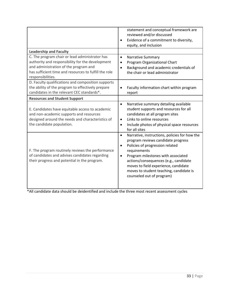|                                                                                                                                                                                                                           | statement and conceptual framework are<br>reviewed and/or discussed<br>Evidence of a commitment to diversity,<br>equity, and inclusion                                                                                                                                                                                                                                       |
|---------------------------------------------------------------------------------------------------------------------------------------------------------------------------------------------------------------------------|------------------------------------------------------------------------------------------------------------------------------------------------------------------------------------------------------------------------------------------------------------------------------------------------------------------------------------------------------------------------------|
| <b>Leadership and Faculty</b>                                                                                                                                                                                             |                                                                                                                                                                                                                                                                                                                                                                              |
| C. The program chair or lead administrator has<br>authority and responsibility for the development<br>and administration of the program and<br>has sufficient time and resources to fulfill the role<br>responsibilities. | <b>Narrative Summary</b><br>$\bullet$<br>Program Organizational Chart<br>$\bullet$<br>Background and academic credentials of<br>$\bullet$<br>the chair or lead administrator                                                                                                                                                                                                 |
| D. Faculty qualifications and composition supports<br>the ability of the program to effectively prepare<br>candidates in the relevant CEC standards*.                                                                     | Faculty information chart within program<br>$\bullet$<br>report                                                                                                                                                                                                                                                                                                              |
| <b>Resources and Student Support</b>                                                                                                                                                                                      |                                                                                                                                                                                                                                                                                                                                                                              |
| E. Candidates have equitable access to academic<br>and non-academic supports and resources<br>designed around the needs and characteristics of<br>the candidate population.                                               | Narrative summary detailing available<br>$\bullet$<br>student supports and resources for all<br>candidates at all program sites<br>Links to online resources<br>$\bullet$<br>Include photos of physical space resources<br>$\bullet$<br>for all sites                                                                                                                        |
| F. The program routinely reviews the performance<br>of candidates and advises candidates regarding<br>their progress and potential in the program.                                                                        | Narrative, instructions, policies for how the<br>$\bullet$<br>program reviews candidate progress<br>Policies of progression related<br>$\bullet$<br>requirements<br>Program milestones with associated<br>$\bullet$<br>actions/consequences (e.g., candidate<br>moves to field experience, candidate<br>moves to student teaching, candidate is<br>counseled out of program) |

\*All candidate data should be deidentified and include the three most recent assessment cycles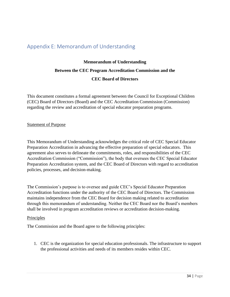# <span id="page-33-0"></span>Appendix E: Memorandum of Understanding

# **Memorandum of Understanding Between the CEC Program Accreditation Commission and the CEC Board of Directors**

This document constitutes a formal agreement between the Council for Exceptional Children (CEC) Board of Directors (Board) and the CEC Accreditation Commission (Commission) regarding the review and accreditation of special educator preparation programs.

### Statement of Purpose

This Memorandum of Understanding acknowledges the critical role of CEC Special Educator Preparation Accreditation in advancing the effective preparation of special educators. This agreement also serves to delineate the commitments, roles, and responsibilities of the CEC Accreditation Commission ("Commission"), the body that oversees the CEC Special Educator Preparation Accreditation system, and the CEC Board of Directors with regard to accreditation policies, processes, and decision-making.

The Commission's purpose is to oversee and guide CEC's Special Educator Preparation Accreditation functions under the authority of the CEC Board of Directors. The Commission maintains independence from the CEC Board for decision making related to accreditation through this memorandum of understanding. Neither the CEC Board nor the Board's members shall be involved in program accreditation reviews or accreditation decision-making.

### **Principles**

The Commission and the Board agree to the following principles:

1. CEC is the organization for special education professionals. The infrastructure to support the professional activities and needs of its members resides within CEC.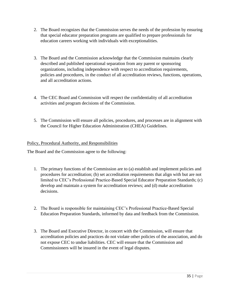- 2. The Board recognizes that the Commission serves the needs of the profession by ensuring that special educator preparation programs are qualified to prepare professionals for education careers working with individuals with exceptionalities.
- 3. The Board and the Commission acknowledge that the Commission maintains clearly described and published operational separation from any parent or sponsoring organizations, including independence with respect to accreditation requirements, policies and procedures, in the conduct of all accreditation reviews, functions, operations, and all accreditation actions.
- 4. The CEC Board and Commission will respect the confidentiality of all accreditation activities and program decisions of the Commission.
- 5. The Commission will ensure all policies, procedures, and processes are in alignment with the Council for Higher Education Administration (CHEA) Guidelines.

# Policy, Procedural Authority, and Responsibilities

The Board and the Commission agree to the following:

- 1. The primary functions of the Commission are to (a) establish and implement policies and procedures for accreditation; (b) set accreditation requirements that align with but are not limited to CEC's Professional Practice-Based Special Educator Preparation Standards; (c) develop and maintain a system for accreditation reviews; and (d) make accreditation decisions.
- 2. The Board is responsible for maintaining CEC's Professional Practice-Based Special Education Preparation Standards, informed by data and feedback from the Commission.
- 3. The Board and Executive Director, in concert with the Commission, will ensure that accreditation policies and practices do not violate other policies of the association, and do not expose CEC to undue liabilities. CEC will ensure that the Commission and Commissioners will be insured in the event of legal disputes.